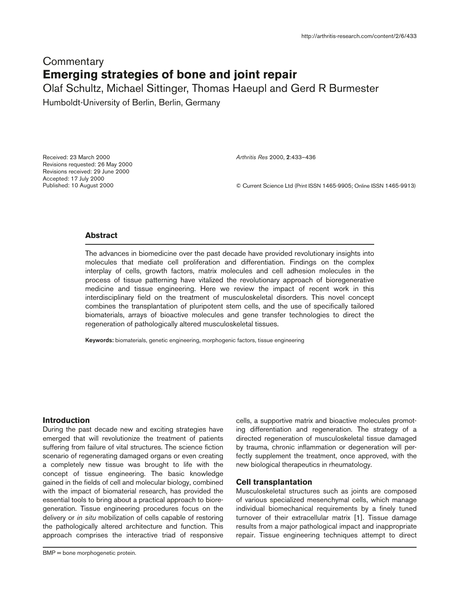# **Commentary Emerging strategies of bone and joint repair**

Olaf Schultz, Michael Sittinger, Thomas Haeupl and Gerd R Burmester Humboldt-University of Berlin, Berlin, Germany

Received: 23 March 2000 Revisions requested: 26 May 2000 Revisions received: 29 June 2000 Accepted: 17 July 2000 Published: 10 August 2000

*Arthritis Res* 2000, **2**:433–436

© Current Science Ltd (Print ISSN 1465-9905; Online ISSN 1465-9913)

## **Abstract**

The advances in biomedicine over the past decade have provided revolutionary insights into molecules that mediate cell proliferation and differentiation. Findings on the complex interplay of cells, growth factors, matrix molecules and cell adhesion molecules in the process of tissue patterning have vitalized the revolutionary approach of bioregenerative medicine and tissue engineering. Here we review the impact of recent work in this interdisciplinary field on the treatment of musculoskeletal disorders. This novel concept combines the transplantation of pluripotent stem cells, and the use of specifically tailored biomaterials, arrays of bioactive molecules and gene transfer technologies to direct the regeneration of pathologically altered musculoskeletal tissues.

**Keywords:** biomaterials, genetic engineering, morphogenic factors, tissue engineering

## **Introduction**

During the past decade new and exciting strategies have emerged that will revolutionize the treatment of patients suffering from failure of vital structures. The science fiction scenario of regenerating damaged organs or even creating a completely new tissue was brought to life with the concept of tissue engineering. The basic knowledge gained in the fields of cell and molecular biology, combined with the impact of biomaterial research, has provided the essential tools to bring about a practical approach to bioregeneration. Tissue engineering procedures focus on the delivery or *in situ* mobilization of cells capable of restoring the pathologically altered architecture and function. This approach comprises the interactive triad of responsive

BMP = bone morphogenetic protein.

cells, a supportive matrix and bioactive molecules promoting differentiation and regeneration. The strategy of a directed regeneration of musculoskeletal tissue damaged by trauma, chronic inflammation or degeneration will perfectly supplement the treatment, once approved, with the new biological therapeutics in rheumatology.

#### **Cell transplantation**

Musculoskeletal structures such as joints are composed of various specialized mesenchymal cells, which manage individual biomechanical requirements by a finely tuned turnover of their extracellular matrix [1]. Tissue damage results from a major pathological impact and inappropriate repair. Tissue engineering techniques attempt to direct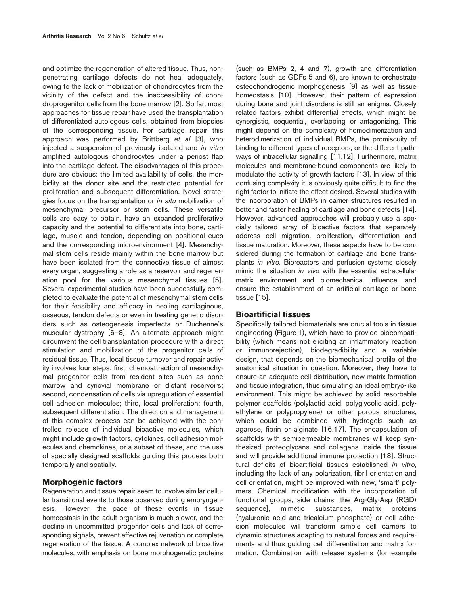and optimize the regeneration of altered tissue. Thus, nonpenetrating cartilage defects do not heal adequately, owing to the lack of mobilization of chondrocytes from the vicinity of the defect and the inaccessibility of chondroprogenitor cells from the bone marrow [2]. So far, most approaches for tissue repair have used the transplantation of differentiated autologous cells, obtained from biopsies of the corresponding tissue. For cartilage repair this approach was performed by Brittberg *et al* [3], who injected a suspension of previously isolated and *in vitro* amplified autologous chondrocytes under a periost flap into the cartilage defect. The disadvantages of this procedure are obvious: the limited availability of cells, the morbidity at the donor site and the restricted potential for proliferation and subsequent differentiation. Novel strategies focus on the transplantation or *in situ* mobilization of mesenchymal precursor or stem cells. These versatile cells are easy to obtain, have an expanded proliferative capacity and the potential to differentiate into bone, cartilage, muscle and tendon, depending on positional cues and the corresponding microenvironment [4]. Mesenchymal stem cells reside mainly within the bone marrow but have been isolated from the connective tissue of almost every organ, suggesting a role as a reservoir and regeneration pool for the various mesenchymal tissues [5]. Several experimental studies have been successfully completed to evaluate the potential of mesenchymal stem cells for their feasibility and efficacy in healing cartilaginous, osseous, tendon defects or even in treating genetic disorders such as osteogenesis imperfecta or Duchenne's muscular dystrophy [6–8]. An alternate approach might circumvent the cell transplantation procedure with a direct stimulation and mobilization of the progenitor cells of residual tissue. Thus, local tissue turnover and repair activity involves four steps: first, chemoattraction of mesenchymal progenitor cells from resident sites such as bone marrow and synovial membrane or distant reservoirs; second, condensation of cells via upregulation of essential cell adhesion molecules; third, local proliferation; fourth, subsequent differentiation. The direction and management of this complex process can be achieved with the controlled release of individual bioactive molecules, which might include growth factors, cytokines, cell adhesion molecules and chemokines, or a subset of these, and the use of specially designed scaffolds guiding this process both temporally and spatially.

#### **Morphogenic factors**

Regeneration and tissue repair seem to involve similar cellular transitional events to those observed during embryogenesis. However, the pace of these events in tissue homeostasis in the adult organism is much slower, and the decline in uncommitted progenitor cells and lack of corresponding signals, prevent effective rejuvenation or complete regeneration of the tissue*.* A complex network of bioactive molecules, with emphasis on bone morphogenetic proteins

(such as BMPs 2, 4 and 7), growth and differentiation factors (such as GDFs 5 and 6), are known to orchestrate osteochondrogenic morphogenesis [9] as well as tissue homeostasis [10]. However, their pattern of expression during bone and joint disorders is still an enigma. Closely related factors exhibit differential effects, which might be synergistic, sequential, overlapping or antagonizing. This might depend on the complexity of homodimerization and heterodimerization of individual BMPs, the promiscuity of binding to different types of receptors, or the different pathways of intracellular signalling [11,12]. Furthermore, matrix molecules and membrane-bound components are likely to modulate the activity of growth factors [13]. In view of this confusing complexity it is obviously quite difficult to find the right factor to initiate the effect desired. Several studies with the incorporation of BMPs in carrier structures resulted in better and faster healing of cartilage and bone defects [14]. However, advanced approaches will probably use a specially tailored array of bioactive factors that separately address cell migration, proliferation, differentiation and tissue maturation. Moreover, these aspects have to be considered during the formation of cartilage and bone transplants *in vitro*. Bioreactors and perfusion systems closely mimic the situation *in vivo* with the essential extracellular matrix environment and biomechanical influence, and ensure the establishment of an artificial cartilage or bone tissue [15].

#### **Bioartificial tissues**

Specifically tailored biomaterials are crucial tools in tissue engineering (Figure 1), which have to provide biocompatibility (which means not eliciting an inflammatory reaction or immunorejection), biodegradibility and a variable design, that depends on the biomechanical profile of the anatomical situation in question. Moreover, they have to ensure an adequate cell distribution, new matrix formation and tissue integration, thus simulating an ideal embryo-like environment. This might be achieved by solid resorbable polymer scaffolds (polylactid acid, polyglycolic acid, polyethylene or polypropylene) or other porous structures, which could be combined with hydrogels such as agarose, fibrin or alginate [16,17]. The encapsulation of scaffolds with semipermeable membranes will keep synthesized proteoglycans and collagens inside the tissue and will provide additional immune protection [18]. Structural deficits of bioartificial tissues established *in vitro*, including the lack of any polarization, fibril orientation and cell orientation, might be improved with new, 'smart' polymers. Chemical modification with the incorporation of functional groups, side chains [the Arg-Gly-Asp (RGD) sequence], mimetic substances, matrix proteins (hyaluronic acid and tricalcium phosphate) or cell adhesion molecules will transform simple cell carriers to dynamic structures adapting to natural forces and requirements and thus guiding cell differentiation and matrix formation. Combination with release systems (for example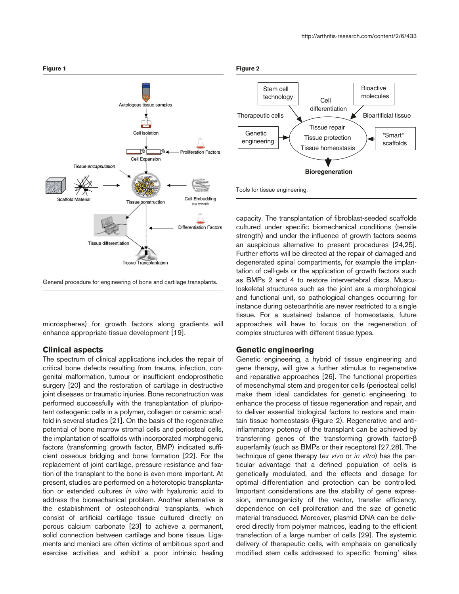

General procedure for engineering of bone and cartilage transplants.

microspheres) for growth factors along gradients will enhance appropriate tissue development [19].

### **Clinical aspects**

The spectrum of clinical applications includes the repair of critical bone defects resulting from trauma, infection, congenital malformation, tumour or insufficient endoprosthetic surgery [20] and the restoration of cartilage in destructive joint diseases or traumatic injuries. Bone reconstruction was performed successfully with the transplantation of pluripotent osteogenic cells in a polymer, collagen or ceramic scaffold in several studies [21]. On the basis of the regenerative potential of bone marrow stromal cells and periosteal cells, the implantation of scaffolds with incorporated morphogenic factors (transforming growth factor, BMP) indicated sufficient osseous bridging and bone formation [22]. For the replacement of joint cartilage, pressure resistance and fixation of the transplant to the bone is even more important. At present, studies are performed on a heterotopic transplantation or extended cultures *in vitro* with hyaluronic acid to address the biomechanical problem. Another alternative is the establishment of osteochondral transplants, which consist of artificial cartilage tissue cultured directly on porous calcium carbonate [23] to achieve a permanent, solid connection between cartilage and bone tissue. Ligaments and menisci are often victims of ambitious sport and exercise activities and exhibit a poor intrinsic healing





capacity. The transplantation of fibroblast-seeded scaffolds cultured under specific biomechanical conditions (tensile strength) and under the influence of growth factors seems an auspicious alternative to present procedures [24,25]. Further efforts will be directed at the repair of damaged and degenerated spinal compartments, for example the implantation of cell-gels or the application of growth factors such as BMPs 2 and 4 to restore intervertebral discs. Musculoskeletal structures such as the joint are a morphological and functional unit, so pathological changes occurring for instance during osteoarthritis are never restricted to a single tissue. For a sustained balance of homeostasis, future approaches will have to focus on the regeneration of complex structures with different tissue types.

### **Genetic engineering**

Genetic engineering, a hybrid of tissue engineering and gene therapy, will give a further stimulus to regenerative and reparative approaches [26]. The functional properties of mesenchymal stem and progenitor cells (periosteal cells) make them ideal candidates for genetic engineering, to enhance the process of tissue regeneration and repair, and to deliver essential biological factors to restore and maintain tissue homeostasis (Figure 2). Regenerative and antiinflammatory potency of the transplant can be achieved by transferring genes of the transforming growth factor-β superfamily (such as BMPs or their receptors) [27,28]. The technique of gene therapy (*ex vivo* or *in vitro*) has the particular advantage that a defined population of cells is genetically modulated, and the effects and dosage for optimal differentiation and protection can be controlled. Important considerations are the stability of gene expression, immunogenicity of the vector, transfer efficiency, dependence on cell proliferation and the size of genetic material transduced. Moreover, plasmid DNA can be delivered directly from polymer matrices, leading to the efficient transfection of a large number of cells [29]. The systemic delivery of therapeutic cells, with emphasis on genetically modified stem cells addressed to specific 'homing' sites